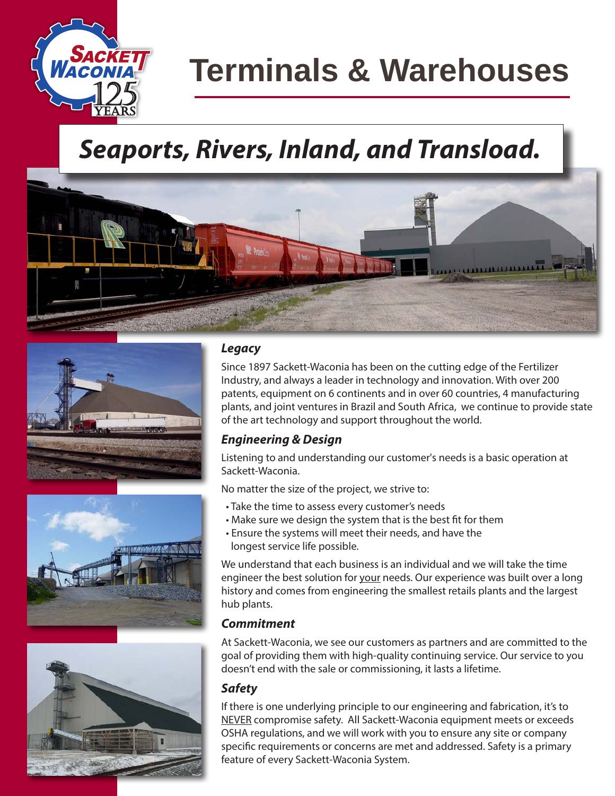

# **Terminals & Warehouses**

### *Seaports, Rivers, Inland, and Transload.*









#### *Legacy*

Since 1897 Sackett-Waconia has been on the cutting edge of the Fertilizer Industry, and always a leader in technology and innovation. With over 200 patents, equipment on 6 continents and in over 60 countries, 4 manufacturing plants, and joint ventures in Brazil and South Africa, we continue to provide state of the art technology and support throughout the world.

#### *Engineering & Design*

Listening to and understanding our customer's needs is a basic operation at Sackett-Waconia.

No matter the size of the project, we strive to:

- Take the time to assess every customer's needs
- Make sure we design the system that is the best fit for them
- Ensure the systems will meet their needs, and have the longest service life possible.

We understand that each business is an individual and we will take the time engineer the best solution for your needs. Our experience was built over a long history and comes from engineering the smallest retails plants and the largest hub plants.

#### *Commitment*

At Sackett-Waconia, we see our customers as partners and are committed to the goal of providing them with high-quality continuing service. Our service to you doesn't end with the sale or commissioning, it lasts a lifetime.

#### *Safety*

If there is one underlying principle to our engineering and fabrication, it's to NEVER compromise safety. All Sackett-Waconia equipment meets or exceeds OSHA regulations, and we will work with you to ensure any site or company specific requirements or concerns are met and addressed. Safety is a primary feature of every Sackett-Waconia System.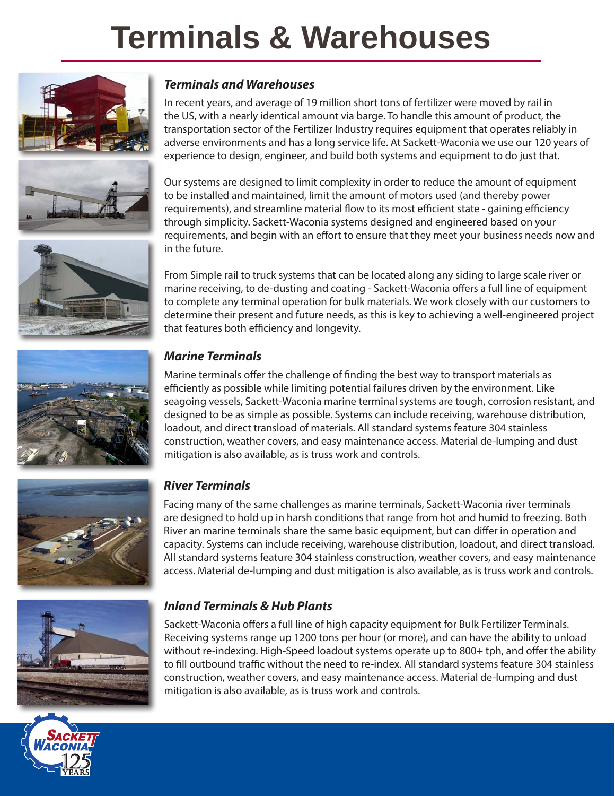# **Terminals & Warehouses**









In recent years, and average of 19 million short tons of fertilizer were moved by rail in the US, with a nearly identical amount via barge. To handle this amount of product, the transportation sector of the Fertilizer Industry requires equipment that operates reliably in adverse environments and has a long service life. At Sackett-Waconia we use our 120 years of experience to design, engineer, and build both systems and equipment to do just that.

Our systems are designed to limit complexity in order to reduce the amount of equipment to be installed and maintained, limit the amount of motors used (and thereby power requirements), and streamline material flow to its most efficient state - gaining efficiency through simplicity. Sackett-Waconia systems designed and engineered based on your requirements, and begin with an effort to ensure that they meet your business needs now and in the future.

From Simple rail to truck systems that can be located along any siding to large scale river or marine receiving, to de-dusting and coating - Sackett-Waconia offers a full line of equipment to complete any terminal operation for bulk materials. We work closely with our customers to determine their present and future needs, as this is key to achieving a well-engineered project that features both efficiency and longevity.



#### *Marine Terminals*

Marine terminals offer the challenge of finding the best way to transport materials as efficiently as possible while limiting potential failures driven by the environment. Like seagoing vessels, Sackett-Waconia marine terminal systems are tough, corrosion resistant, and designed to be as simple as possible. Systems can include receiving, warehouse distribution, loadout, and direct transload of materials. All standard systems feature 304 stainless construction, weather covers, and easy maintenance access. Material de-lumping and dust mitigation is also available, as is truss work and controls.



#### *River Terminals*

Facing many of the same challenges as marine terminals, Sackett-Waconia river terminals are designed to hold up in harsh conditions that range from hot and humid to freezing. Both River an marine terminals share the same basic equipment, but can differ in operation and capacity. Systems can include receiving, warehouse distribution, loadout, and direct transload. All standard systems feature 304 stainless construction, weather covers, and easy maintenance access. Material de-lumping and dust mitigation is also available, as is truss work and controls.



#### *Inland Terminals & Hub Plants*

Sackett-Waconia offers a full line of high capacity equipment for Bulk Fertilizer Terminals. Receiving systems range up 1200 tons per hour (or more), and can have the ability to unload without re-indexing. High-Speed loadout systems operate up to 800+ tph, and offer the ability to fill outbound traffic without the need to re-index. All standard systems feature 304 stainless construction, weather covers, and easy maintenance access. Material de-lumping and dust mitigation is also available, as is truss work and controls.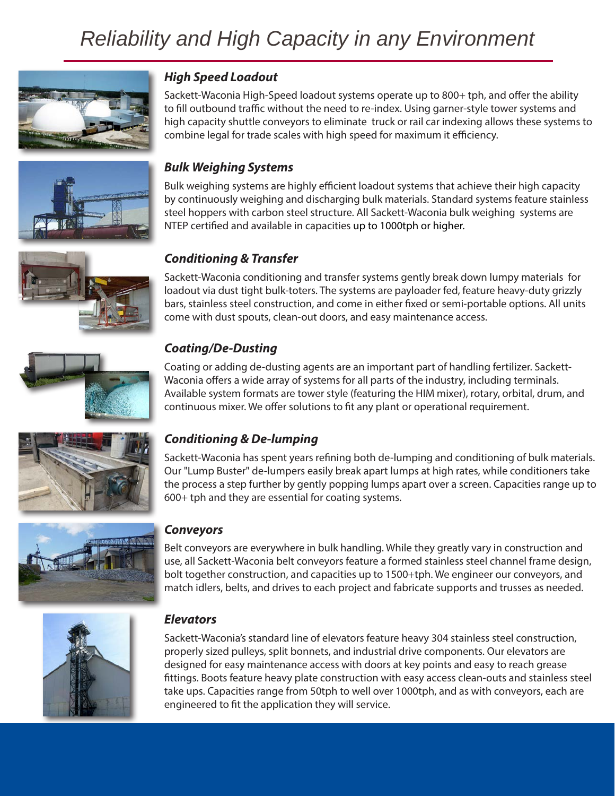### *Reliability and High Capacity in any Environment*





#### *High Speed Loadout*

Sackett-Waconia High-Speed loadout systems operate up to 800+ tph, and offer the ability to fill outbound traffic without the need to re-index. Using garner-style tower systems and high capacity shuttle conveyors to eliminate truck or rail car indexing allows these systems to combine legal for trade scales with high speed for maximum it efficiency.

#### *Bulk Weighing Systems*

Bulk weighing systems are highly efficient loadout systems that achieve their high capacity by continuously weighing and discharging bulk materials. Standard systems feature stainless steel hoppers with carbon steel structure. All Sackett-Waconia bulk weighing systems are NTEP certified and available in capacities up to 1000tph or higher.

#### *Conditioning & Transfer*

Sackett-Waconia conditioning and transfer systems gently break down lumpy materials for loadout via dust tight bulk-toters. The systems are payloader fed, feature heavy-duty grizzly bars, stainless steel construction, and come in either fixed or semi-portable options. All units come with dust spouts, clean-out doors, and easy maintenance access.



#### *Coating/De-Dusting*

Coating or adding de-dusting agents are an important part of handling fertilizer. Sackett-Waconia offers a wide array of systems for all parts of the industry, including terminals. Available system formats are tower style (featuring the HIM mixer), rotary, orbital, drum, and continuous mixer. We offer solutions to fit any plant or operational requirement.



#### *Conditioning & De-lumping*

Sackett-Waconia has spent years refining both de-lumping and conditioning of bulk materials. Our "Lump Buster" de-lumpers easily break apart lumps at high rates, while conditioners take the process a step further by gently popping lumps apart over a screen. Capacities range up to 600+ tph and they are essential for coating systems.



#### *Conveyors*

Belt conveyors are everywhere in bulk handling. While they greatly vary in construction and use, all Sackett-Waconia belt conveyors feature a formed stainless steel channel frame design, bolt together construction, and capacities up to 1500+tph. We engineer our conveyors, and match idlers, belts, and drives to each project and fabricate supports and trusses as needed.



#### *Elevators*

Sackett-Waconia's standard line of elevators feature heavy 304 stainless steel construction, properly sized pulleys, split bonnets, and industrial drive components. Our elevators are designed for easy maintenance access with doors at key points and easy to reach grease fittings. Boots feature heavy plate construction with easy access clean-outs and stainless steel take ups. Capacities range from 50tph to well over 1000tph, and as with conveyors, each are engineered to fit the application they will service.